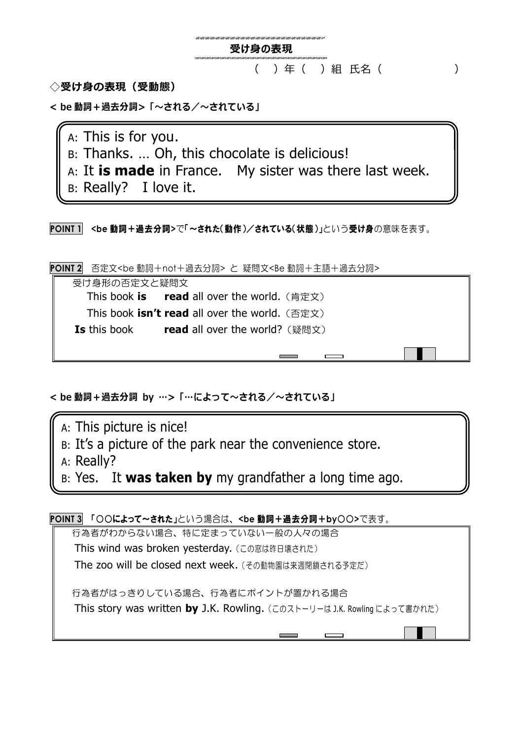

**◇受け身の表現(受動態)**

**< be 動詞+過去分詞>「~される/~されている」**

A: This is for you.

- B: Thanks. … Oh, this chocolate is delicious!
- A: It **is made** in France. My sister was there last week.
- B: Really? I love it.

**POINT 1 <be** 動詞+過去分詞**>**で「~された(動作)/されている(状態)」という受け身の意味を表す。

**POINT 2** 否定文<be 動詞+not+過去分詞> と 疑問文<Be 動詞+主語+過去分詞>

受け身形の否定文と疑問文 **This book is read** all over the world. (肯定文) **This book isn't read all over the world.** (否定文) **Is** this book **induced** all over the world? (疑問文)

**< be 動詞+過去分詞 by …>「…によって~される/~されている」**

A: This picture is nice!

- B: It's a picture of the park near the convenience store.
- A: Really?

B: Yes. It **was taken by** my grandfather a long time ago.

**POINT 3** 「○○によって~された」という場合は、**<be** 動詞+過去分詞+**by**○○**>**で表す。

行為者がわからない場合、特に定まっていない一般の人々の場合 This wind was broken yesterday. (この窓は昨日壊された) The zoo will be closed next week.(その動物園は来週閉鎖される予定だ) 行為者がはっきりしている場合、行為者にポイントが置かれる場合 This story was written **by** J.K. Rowling.(このストーリーは J.K. Rowling によって書かれた)